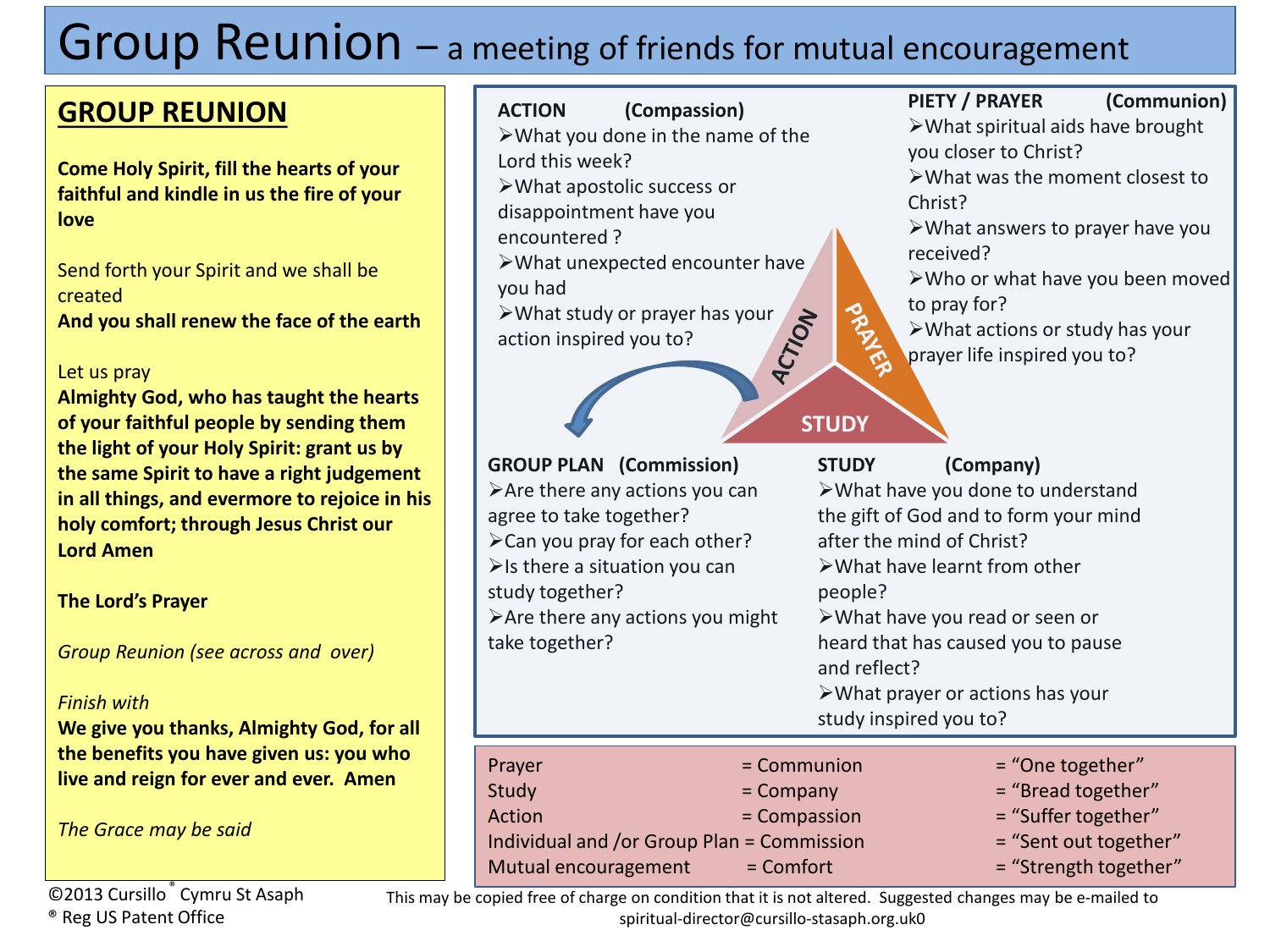# Group Reunion – a meeting of friends for mutual encouragement

### **GROUP REUNION**

**Come Holy Spirit, fill the hearts of your faithful and kindle in us the fire of your love**

Send forth your Spirit and we shall be created **And you shall renew the face of the earth**

### Let us pray

**Almighty God, who has taught the hearts of your faithful people by sending them the light of your Holy Spirit: grant us by the same Spirit to have a right judgement in all things, and evermore to rejoice in his holy comfort; through Jesus Christ our Lord Amen**

**The Lord's Prayer**

*Group Reunion (see across and over)*

### *Finish with*

**We give you thanks, Almighty God, for all the benefits you have given us: you who live and reign for ever and ever. Amen**

*The Grace may be said*

### ©2013 Cursillo ® Cymru St Asaph ® Reg US Patent Office

**ACTION (Compassion)**

- What you done in the name of the Lord this week?
- What apostolic success or
- disappointment have you
- encountered ?
- What unexpected encounter have you had
- $\triangleright$  What study or prayer has your<br>action inspired you to? action inspired you to?

### **GROUP PLAN (C**  $\blacktriangleright$  Are there any a agree to take tog  $\blacktriangleright$  Can you pray for  $\triangleright$  Is there a situation study together?  $\blacktriangleright$  Are there any a take together?

### **PIETY / PRAYER (Communion)**

What spiritual aids have brought you closer to Christ?

What was the moment closest to Christ?

What answers to prayer have you received?

- Who or what have you been moved to pray for?
- What actions or study has your prayer life inspired you to?

**STUDY**

| <b>GROUP PLAN</b> (Commission)<br>agree to take together?<br>$\triangleright$ Is there a situation you can<br>study together?<br>take together? | $\triangleright$ Are there any actions you can<br>> Can you pray for each other?<br>$\triangleright$ Are there any actions you might | <b>STUDY</b><br>after the mind of Christ?<br>$\triangleright$ What have learnt from other<br>people?<br>>What have you read or seen or<br>and reflect?<br>study inspired you to? | (Company)<br>>What have you done to understand<br>the gift of God and to form your mind<br>heard that has caused you to pause<br>$\triangleright$ What prayer or actions has your |
|-------------------------------------------------------------------------------------------------------------------------------------------------|--------------------------------------------------------------------------------------------------------------------------------------|----------------------------------------------------------------------------------------------------------------------------------------------------------------------------------|-----------------------------------------------------------------------------------------------------------------------------------------------------------------------------------|
| Prayer                                                                                                                                          | = Communion                                                                                                                          |                                                                                                                                                                                  | = "One together"                                                                                                                                                                  |
| Study                                                                                                                                           | $=$ Company                                                                                                                          |                                                                                                                                                                                  | $=$ "Bread together"                                                                                                                                                              |
| Action                                                                                                                                          | = Compassion                                                                                                                         |                                                                                                                                                                                  | = "Suffer together"                                                                                                                                                               |
| Individual and /or Group Plan = Commission                                                                                                      |                                                                                                                                      |                                                                                                                                                                                  |                                                                                                                                                                                   |
|                                                                                                                                                 |                                                                                                                                      |                                                                                                                                                                                  | = "Sent out together"                                                                                                                                                             |

This may be copied free of charge on condition that it is not altered. Suggested changes may be e-mailed to spiritual-director@cursillo-stasaph.org.uk0

Mutual encouragement  $=$  Comfort  $=$  "Strength together"